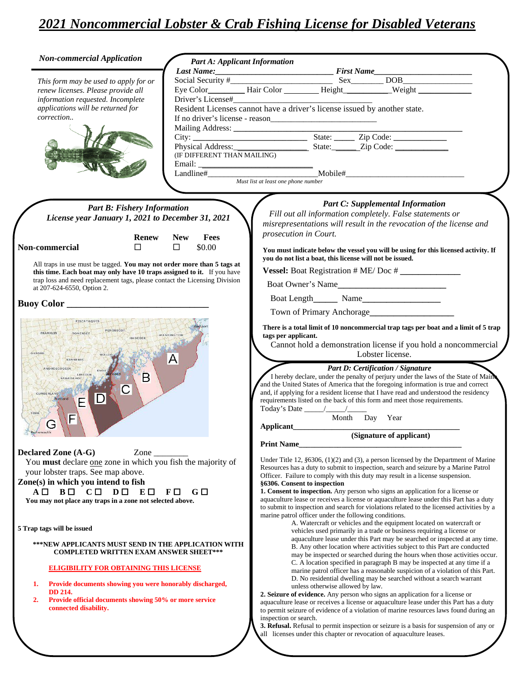| <b>Non-commercial Application</b>                                                                                                                                              |                                                                                                                                                    | <b>Part A: Applicant Information</b>                                                    |                                                                                     |                                                                                                                                                                                                                                                  |  |  |
|--------------------------------------------------------------------------------------------------------------------------------------------------------------------------------|----------------------------------------------------------------------------------------------------------------------------------------------------|-----------------------------------------------------------------------------------------|-------------------------------------------------------------------------------------|--------------------------------------------------------------------------------------------------------------------------------------------------------------------------------------------------------------------------------------------------|--|--|
|                                                                                                                                                                                |                                                                                                                                                    |                                                                                         |                                                                                     | Last Name:<br>Social Security #<br>Eye Color<br>Hair Color<br>Hair Color<br>Height<br>Height<br>Merged Management (New York)<br>Merged Management (New York)<br>Merged Merged Merged Merged Merged Merged Merged Merged Merged Merged Merged Mer |  |  |
| This form may be used to apply for or                                                                                                                                          |                                                                                                                                                    |                                                                                         |                                                                                     |                                                                                                                                                                                                                                                  |  |  |
| renew licenses. Please provide all                                                                                                                                             |                                                                                                                                                    |                                                                                         |                                                                                     |                                                                                                                                                                                                                                                  |  |  |
| information requested. Incomplete                                                                                                                                              |                                                                                                                                                    |                                                                                         |                                                                                     |                                                                                                                                                                                                                                                  |  |  |
| applications will be returned for<br>correction                                                                                                                                | Resident Licenses cannot have a driver's license issued by another state.                                                                          |                                                                                         |                                                                                     |                                                                                                                                                                                                                                                  |  |  |
|                                                                                                                                                                                |                                                                                                                                                    |                                                                                         |                                                                                     |                                                                                                                                                                                                                                                  |  |  |
|                                                                                                                                                                                |                                                                                                                                                    |                                                                                         |                                                                                     |                                                                                                                                                                                                                                                  |  |  |
|                                                                                                                                                                                |                                                                                                                                                    |                                                                                         |                                                                                     |                                                                                                                                                                                                                                                  |  |  |
|                                                                                                                                                                                |                                                                                                                                                    |                                                                                         |                                                                                     |                                                                                                                                                                                                                                                  |  |  |
|                                                                                                                                                                                |                                                                                                                                                    |                                                                                         |                                                                                     |                                                                                                                                                                                                                                                  |  |  |
|                                                                                                                                                                                |                                                                                                                                                    |                                                                                         |                                                                                     |                                                                                                                                                                                                                                                  |  |  |
|                                                                                                                                                                                |                                                                                                                                                    |                                                                                         |                                                                                     |                                                                                                                                                                                                                                                  |  |  |
|                                                                                                                                                                                |                                                                                                                                                    |                                                                                         |                                                                                     |                                                                                                                                                                                                                                                  |  |  |
| <b>Part B: Fishery Information</b>                                                                                                                                             |                                                                                                                                                    |                                                                                         |                                                                                     | <b>Part C: Supplemental Information</b>                                                                                                                                                                                                          |  |  |
| License year January 1, 2021 to December 31, 2021                                                                                                                              |                                                                                                                                                    |                                                                                         | Fill out all information completely. False statements or                            |                                                                                                                                                                                                                                                  |  |  |
|                                                                                                                                                                                |                                                                                                                                                    |                                                                                         |                                                                                     | misrepresentations will result in the revocation of the license and                                                                                                                                                                              |  |  |
| <b>Renew</b>                                                                                                                                                                   | <b>New</b><br>Fees                                                                                                                                 | prosecution in Court.                                                                   |                                                                                     |                                                                                                                                                                                                                                                  |  |  |
| $\Box$<br>Non-commercial                                                                                                                                                       | $\Box$<br>\$0.00                                                                                                                                   |                                                                                         |                                                                                     |                                                                                                                                                                                                                                                  |  |  |
|                                                                                                                                                                                |                                                                                                                                                    |                                                                                         |                                                                                     | You must indicate below the vessel you will be using for this licensed activity. If<br>you do not list a boat, this license will not be issued.                                                                                                  |  |  |
| All traps in use must be tagged. You may not order more than 5 tags at                                                                                                         |                                                                                                                                                    |                                                                                         |                                                                                     |                                                                                                                                                                                                                                                  |  |  |
| this time. Each boat may only have 10 traps assigned to it. If you have<br>trap loss and need replacement tags, please contact the Licensing Division                          |                                                                                                                                                    |                                                                                         |                                                                                     |                                                                                                                                                                                                                                                  |  |  |
| at 207-624-6550, Option 2.                                                                                                                                                     |                                                                                                                                                    | Boat Owner's Name                                                                       |                                                                                     |                                                                                                                                                                                                                                                  |  |  |
|                                                                                                                                                                                |                                                                                                                                                    |                                                                                         |                                                                                     | Boat Length Name                                                                                                                                                                                                                                 |  |  |
| PISCATAQUIS<br>PENOBSCOT<br>FRANKLIN<br>SOMERSET<br>WASHINGTON<br>HANCOCK<br><b>ÖXFORD</b><br>A<br><b>KENNEBEC</b><br>ANDROSCOGGIN<br>KNOX<br>LINCOLN<br>Β<br><b>SAGADAHOC</b> |                                                                                                                                                    |                                                                                         |                                                                                     |                                                                                                                                                                                                                                                  |  |  |
|                                                                                                                                                                                |                                                                                                                                                    |                                                                                         | There is a total limit of 10 noncommercial trap tags per boat and a limit of 5 trap |                                                                                                                                                                                                                                                  |  |  |
|                                                                                                                                                                                |                                                                                                                                                    |                                                                                         | tags per applicant.                                                                 |                                                                                                                                                                                                                                                  |  |  |
|                                                                                                                                                                                |                                                                                                                                                    |                                                                                         | Cannot hold a demonstration license if you hold a noncommercial                     |                                                                                                                                                                                                                                                  |  |  |
|                                                                                                                                                                                |                                                                                                                                                    |                                                                                         |                                                                                     | Lobster license.                                                                                                                                                                                                                                 |  |  |
|                                                                                                                                                                                |                                                                                                                                                    |                                                                                         |                                                                                     | Part D: Certification / Signature                                                                                                                                                                                                                |  |  |
|                                                                                                                                                                                |                                                                                                                                                    |                                                                                         |                                                                                     | I hereby declare, under the penalty of perjury under the laws of the State of Main                                                                                                                                                               |  |  |
| C<br>CUMBERLAND                                                                                                                                                                |                                                                                                                                                    |                                                                                         |                                                                                     | and the United States of America that the foregoing information is true and correct<br>and, if applying for a resident license that I have read and understood the residency                                                                     |  |  |
| D <br>Portland<br>E                                                                                                                                                            |                                                                                                                                                    |                                                                                         |                                                                                     | requirements listed on the back of this form and meet those requirements.                                                                                                                                                                        |  |  |
|                                                                                                                                                                                |                                                                                                                                                    |                                                                                         |                                                                                     |                                                                                                                                                                                                                                                  |  |  |
| F<br>G                                                                                                                                                                         |                                                                                                                                                    |                                                                                         |                                                                                     | Month Day Year                                                                                                                                                                                                                                   |  |  |
| Port smouth                                                                                                                                                                    |                                                                                                                                                    | Applicant                                                                               |                                                                                     | (Signature of applicant)                                                                                                                                                                                                                         |  |  |
|                                                                                                                                                                                |                                                                                                                                                    | <b>Print Name</b>                                                                       |                                                                                     |                                                                                                                                                                                                                                                  |  |  |
| <b>Declared Zone (A-G)</b><br>Zone                                                                                                                                             |                                                                                                                                                    |                                                                                         |                                                                                     |                                                                                                                                                                                                                                                  |  |  |
| You must declare one zone in which you fish the majority of                                                                                                                    |                                                                                                                                                    |                                                                                         |                                                                                     | Under Title 12, $$6306$ , $(1)(2)$ and $(3)$ , a person licensed by the Department of Marine                                                                                                                                                     |  |  |
| your lobster traps. See map above.                                                                                                                                             |                                                                                                                                                    |                                                                                         |                                                                                     | Resources has a duty to submit to inspection, search and seizure by a Marine Patrol<br>Officer. Failure to comply with this duty may result in a license suspension.                                                                             |  |  |
| Zone(s) in which you intend to fish                                                                                                                                            |                                                                                                                                                    |                                                                                         | §6306. Consent to inspection                                                        |                                                                                                                                                                                                                                                  |  |  |
| $A \Box$<br>BO CO DO<br>$E \Box$                                                                                                                                               | $F\Box$<br>$G \square$                                                                                                                             |                                                                                         |                                                                                     | 1. Consent to inspection. Any person who signs an application for a license or                                                                                                                                                                   |  |  |
| You may not place any traps in a zone not selected above.                                                                                                                      |                                                                                                                                                    | aquaculture lease or receives a license or aquaculture lease under this Part has a duty |                                                                                     |                                                                                                                                                                                                                                                  |  |  |
|                                                                                                                                                                                | to submit to inspection and search for violations related to the licensed activities by a<br>marine patrol officer under the following conditions. |                                                                                         |                                                                                     |                                                                                                                                                                                                                                                  |  |  |
|                                                                                                                                                                                |                                                                                                                                                    |                                                                                         |                                                                                     | A. Watercraft or vehicles and the equipment located on watercraft or                                                                                                                                                                             |  |  |
| 5 Trap tags will be issued                                                                                                                                                     |                                                                                                                                                    |                                                                                         |                                                                                     | vehicles used primarily in a trade or business requiring a license or                                                                                                                                                                            |  |  |
| ***NEW APPLICANTS MUST SEND IN THE APPLICATION WITH                                                                                                                            |                                                                                                                                                    |                                                                                         |                                                                                     | aquaculture lease under this Part may be searched or inspected at any time.                                                                                                                                                                      |  |  |
| <b>COMPLETED WRITTEN EXAM ANSWER SHEET***</b>                                                                                                                                  |                                                                                                                                                    |                                                                                         |                                                                                     | B. Any other location where activities subject to this Part are conducted<br>may be inspected or searched during the hours when those activities occur.                                                                                          |  |  |
|                                                                                                                                                                                |                                                                                                                                                    |                                                                                         |                                                                                     | C. A location specified in paragraph B may be inspected at any time if a                                                                                                                                                                         |  |  |
| <b>ELIGIBILITY FOR OBTAINING THIS LICENSE</b>                                                                                                                                  |                                                                                                                                                    |                                                                                         |                                                                                     | marine patrol officer has a reasonable suspicion of a violation of this Part.                                                                                                                                                                    |  |  |
| Provide documents showing you were honorably discharged,<br>1.                                                                                                                 |                                                                                                                                                    |                                                                                         |                                                                                     | D. No residential dwelling may be searched without a search warrant                                                                                                                                                                              |  |  |
| DD 214.                                                                                                                                                                        |                                                                                                                                                    |                                                                                         | unless otherwise allowed by law.                                                    | 2. Seizure of evidence. Any person who signs an application for a license or                                                                                                                                                                     |  |  |
| Provide official documents showing 50% or more service<br>2.                                                                                                                   |                                                                                                                                                    |                                                                                         |                                                                                     | aquaculture lease or receives a license or aquaculture lease under this Part has a duty                                                                                                                                                          |  |  |
| connected disability.                                                                                                                                                          |                                                                                                                                                    |                                                                                         |                                                                                     | to permit seizure of evidence of a violation of marine resources laws found during an                                                                                                                                                            |  |  |
|                                                                                                                                                                                |                                                                                                                                                    | inspection or search.                                                                   |                                                                                     |                                                                                                                                                                                                                                                  |  |  |
|                                                                                                                                                                                |                                                                                                                                                    |                                                                                         |                                                                                     | 3. Refusal. Refusal to permit inspection or seizure is a basis for suspension of any or<br>all licenses under this chapter or revocation of aquaculture leases.                                                                                  |  |  |
|                                                                                                                                                                                |                                                                                                                                                    |                                                                                         |                                                                                     |                                                                                                                                                                                                                                                  |  |  |